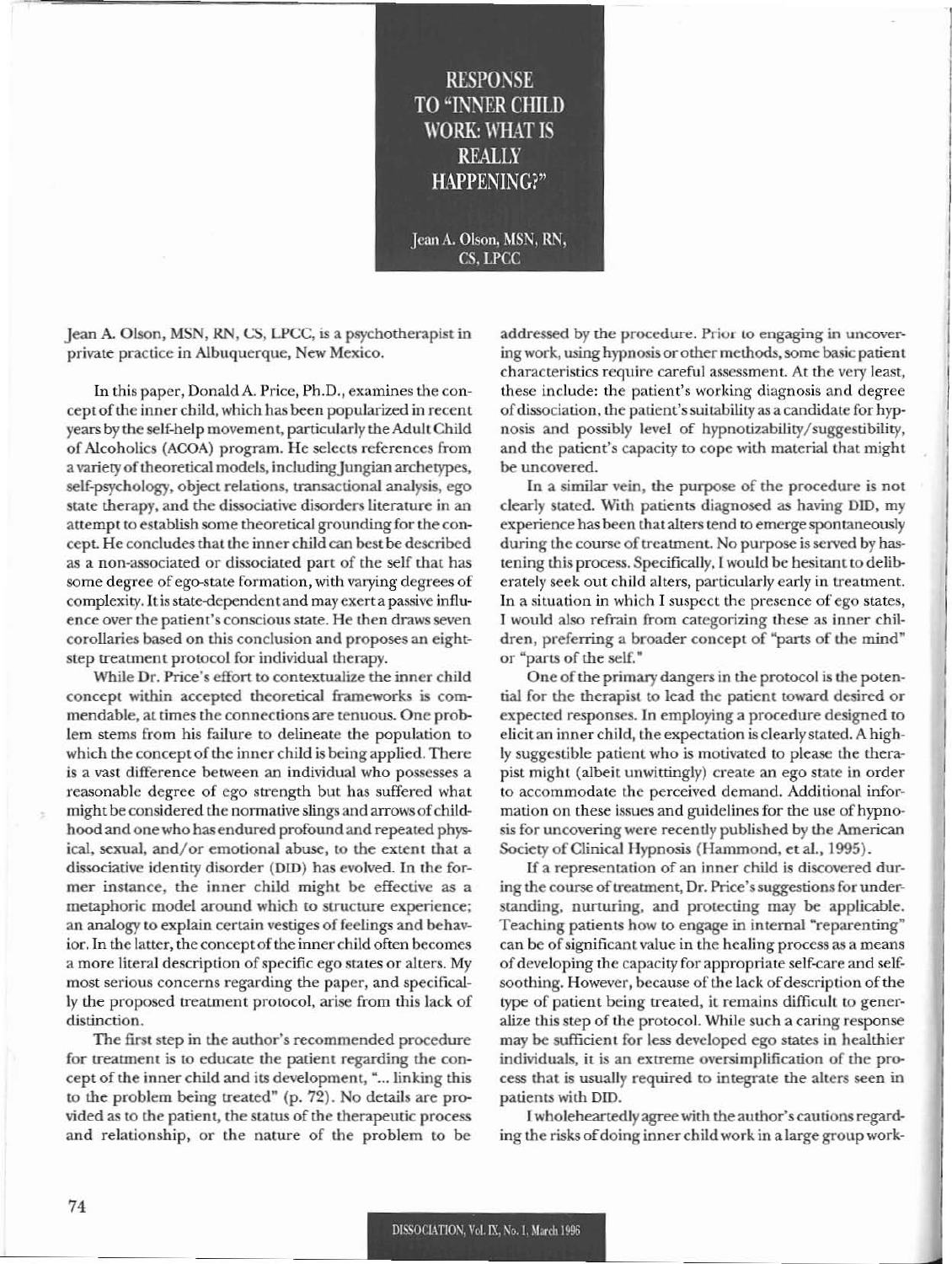## **RESPONSE** TO "INNER CHILD WORK: WHAT IS REALLY HAPPENING?"

Jean A. Olson, MSN, RN, CS, LPCC

Jean A. Olson, MSN, RN, CS, LPCC, is a psychotherapist in private practice in Albuquerque, New Mexico.

In this paper, Donald A. Price, Ph.D., examines the conceptofthe inner child, which has been popularized in recent years by the self-help movement, particularly the Adult Child of Alcoholics (ACOA) program. He selects references from a variety of theoretical models, including Jungian archetypes, self-psychology, object relations, transactional analysis, ego state therapy, and the dissociative disorders literature in an attempt to establish some theoretical grounding for the concept. He concludes that the inner child can best be described as a non-associated or dissociated part of the self that has some degree of ego-state formation, with varying degrees of complexity. It is state-dependent and may exert a passive influence over the patient's conscious state. He then draws seven corollaries based on this conclusion and proposes an eightstep treatment protocol for individual therapy.

While Dr. Price's effort to contextualize the inner child concept within accepted theoretical frameworks is commendable, at times the connections are tenuous. One problem stems from his failure to delineate the population to which the concept of the inner child is being applied. There is a vast difference between an individual who possesses a reasonable degree of ego strength but has suffered what might be considered the normative slings and arrows of childhood and one who has endured profound and repeated physical, sexual, and/or emotional abuse, to the extent that a dissociative identity disorder (DID) has evolved. In the former instance, the inner child might be effective as a metaphoric model around which to structure experience; an analogy to explain certain vestiges of feelings and behavior. In the latter, the concept of the inner child often becomes a more literal description of specific ego states or alters. My most serious concerns regarding the paper, and specifically the proposed treatment protocol, arise from this lack of distinction.

The first step in the author's recommended procedure for treatment is to educate the patient regarding the concept of the inner child and its development, "... linking this to the problem being treated" (p. 72). No details are provided as to the patient, the status of the therapeutic process and relationship, or the nature of the problem to be addressed by the procedure. Prior to engaging in uncovering work, using hypnosis or other methods, some basic patient characteristics require careful assessment. At the very least, these include: the patient's working diagnosis and degree of dissociation, the patient's suitability as a candidate for hypnosis and possibly level of hypnotizability/suggestibility, and the patient's capacity to cope with material that might be uncovered.

In a similar vein, the purpose of the procedure is not clearly stated. With patients diagnosed as having DID, my experience has been that alters tend to emerge spontaneously during the course of treatment. No purpose is served by hastening this process. Specifically, I would be hesitant to deliberately seek out child alters, particularly early in treatment. In a situation in which I suspect the presence of ego states, I would also refrain from categorizing these as inner children, preferring a broader concept of "parts of the mind" or "parts of the self."

One of the primary dangers in the protocol is the potential for the therapist to lead the patient toward desired or expected responses. In employing a procedure designed to elicit an inner child, the expectation is clearlystated. A highly suggestible patient who is motivated to please the therapist might (albeit unwittingly) create an ego state in order to accommodate the perceived demand. Additional information on these issues and guidelines for the use of hypnosis for uncovering were recently published by the American Society of Clinical Hypnosis (Hammond, et al., 1995).

If a representation of an inner child is discovered during the course of treatment, Dr. Price's suggestions for understanding, nurturing, and protecting may be applicable. Teaching patients how to engage in internal "reparenting" can be of significant value in the healing process as a means ofdeveloping the capacity for appropriate self-care and selfsoothing. However, because of the lack of description of the type of patient being treated, it remains difficult to generalize this step of the protocol. While such a caring response may be sufficient for less developed ego states in healthier individuals, it is an extreme oversimplification of the process that is usually required to integrate the alters seen in patients with OlD.

I wholeheartedly agree with the author's cautions regarding the risks of doing inner child work in a large group work-